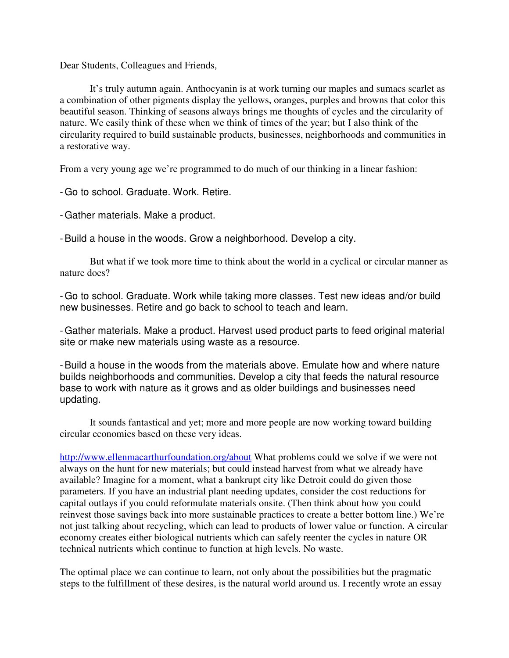Dear Students, Colleagues and Friends,

It's truly autumn again. Anthocyanin is at work turning our maples and sumacs scarlet as a combination of other pigments display the yellows, oranges, purples and browns that color this beautiful season. Thinking of seasons always brings me thoughts of cycles and the circularity of nature. We easily think of these when we think of times of the year; but I also think of the circularity required to build sustainable products, businesses, neighborhoods and communities in a restorative way.

From a very young age we're programmed to do much of our thinking in a linear fashion:

-Go to school. Graduate. Work. Retire.

-Gather materials. Make a product.

-Build a house in the woods. Grow a neighborhood. Develop a city.

But what if we took more time to think about the world in a cyclical or circular manner as nature does?

-Go to school. Graduate. Work while taking more classes. Test new ideas and/or build new businesses. Retire and go back to school to teach and learn.

-Gather materials. Make a product. Harvest used product parts to feed original material site or make new materials using waste as a resource.

-Build a house in the woods from the materials above. Emulate how and where nature builds neighborhoods and communities. Develop a city that feeds the natural resource base to work with nature as it grows and as older buildings and businesses need updating.

It sounds fantastical and yet; more and more people are now working toward building circular economies based on these very ideas.

http://www.ellenmacarthurfoundation.org/about What problems could we solve if we were not always on the hunt for new materials; but could instead harvest from what we already have available? Imagine for a moment, what a bankrupt city like Detroit could do given those parameters. If you have an industrial plant needing updates, consider the cost reductions for capital outlays if you could reformulate materials onsite. (Then think about how you could reinvest those savings back into more sustainable practices to create a better bottom line.) We're not just talking about recycling, which can lead to products of lower value or function. A circular economy creates either biological nutrients which can safely reenter the cycles in nature OR technical nutrients which continue to function at high levels. No waste.

The optimal place we can continue to learn, not only about the possibilities but the pragmatic steps to the fulfillment of these desires, is the natural world around us. I recently wrote an essay